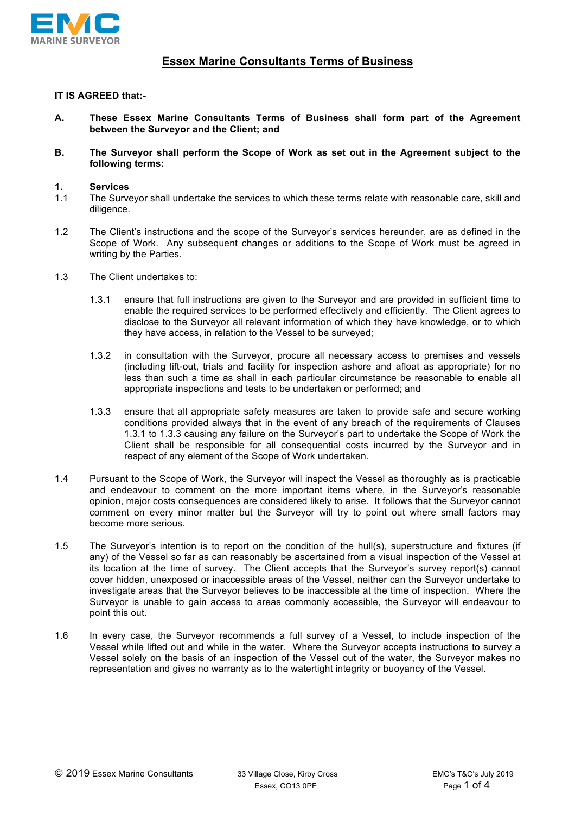

# **Essex Marine Consultants Terms of Business**

# **IT IS AGREED that:-**

- **A. These Essex Marine Consultants Terms of Business shall form part of the Agreement between the Surveyor and the Client; and**
- **B. The Surveyor shall perform the Scope of Work as set out in the Agreement subject to the following terms:**

#### **1. Services**

- 1.1 The Surveyor shall undertake the services to which these terms relate with reasonable care, skill and diligence.
- 1.2 The Client's instructions and the scope of the Surveyor's services hereunder, are as defined in the Scope of Work. Any subsequent changes or additions to the Scope of Work must be agreed in writing by the Parties.
- 1.3 The Client undertakes to:
	- 1.3.1 ensure that full instructions are given to the Surveyor and are provided in sufficient time to enable the required services to be performed effectively and efficiently. The Client agrees to disclose to the Surveyor all relevant information of which they have knowledge, or to which they have access, in relation to the Vessel to be surveyed;
	- 1.3.2 in consultation with the Surveyor, procure all necessary access to premises and vessels (including lift-out, trials and facility for inspection ashore and afloat as appropriate) for no less than such a time as shall in each particular circumstance be reasonable to enable all appropriate inspections and tests to be undertaken or performed; and
	- 1.3.3 ensure that all appropriate safety measures are taken to provide safe and secure working conditions provided always that in the event of any breach of the requirements of Clauses 1.3.1 to 1.3.3 causing any failure on the Surveyor's part to undertake the Scope of Work the Client shall be responsible for all consequential costs incurred by the Surveyor and in respect of any element of the Scope of Work undertaken.
- 1.4 Pursuant to the Scope of Work, the Surveyor will inspect the Vessel as thoroughly as is practicable and endeavour to comment on the more important items where, in the Surveyor's reasonable opinion, major costs consequences are considered likely to arise. It follows that the Surveyor cannot comment on every minor matter but the Surveyor will try to point out where small factors may become more serious.
- 1.5 The Surveyor's intention is to report on the condition of the hull(s), superstructure and fixtures (if any) of the Vessel so far as can reasonably be ascertained from a visual inspection of the Vessel at its location at the time of survey. The Client accepts that the Surveyor's survey report(s) cannot cover hidden, unexposed or inaccessible areas of the Vessel, neither can the Surveyor undertake to investigate areas that the Surveyor believes to be inaccessible at the time of inspection. Where the Surveyor is unable to gain access to areas commonly accessible, the Surveyor will endeavour to point this out.
- 1.6 In every case, the Surveyor recommends a full survey of a Vessel, to include inspection of the Vessel while lifted out and while in the water. Where the Surveyor accepts instructions to survey a Vessel solely on the basis of an inspection of the Vessel out of the water, the Surveyor makes no representation and gives no warranty as to the watertight integrity or buoyancy of the Vessel.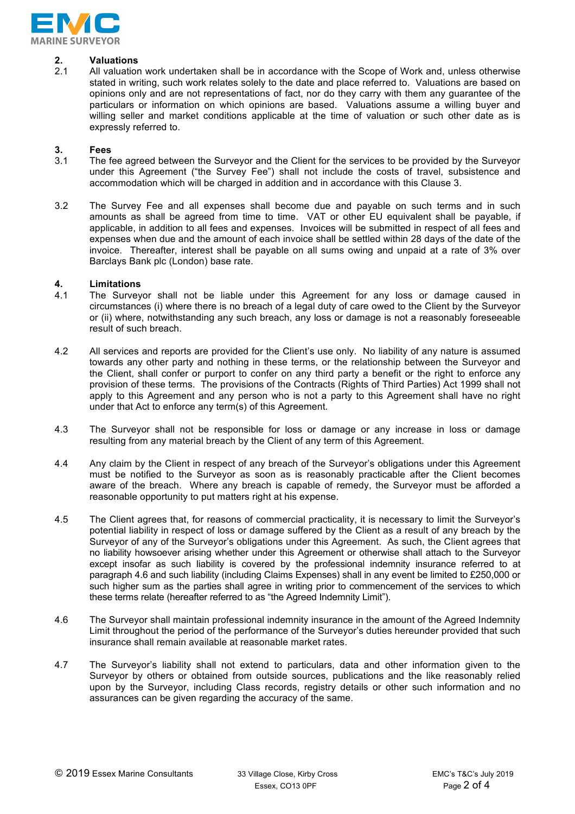

# **2. Valuations**

2.1 All valuation work undertaken shall be in accordance with the Scope of Work and, unless otherwise stated in writing, such work relates solely to the date and place referred to. Valuations are based on opinions only and are not representations of fact, nor do they carry with them any guarantee of the particulars or information on which opinions are based. Valuations assume a willing buyer and willing seller and market conditions applicable at the time of valuation or such other date as is expressly referred to.

# **3. Fees**

- 3.1 The fee agreed between the Surveyor and the Client for the services to be provided by the Surveyor under this Agreement ("the Survey Fee") shall not include the costs of travel, subsistence and accommodation which will be charged in addition and in accordance with this Clause 3.
- 3.2 The Survey Fee and all expenses shall become due and payable on such terms and in such amounts as shall be agreed from time to time. VAT or other EU equivalent shall be payable, if applicable, in addition to all fees and expenses. Invoices will be submitted in respect of all fees and expenses when due and the amount of each invoice shall be settled within 28 days of the date of the invoice. Thereafter, interest shall be payable on all sums owing and unpaid at a rate of 3% over Barclays Bank plc (London) base rate.

### **4. Limitations**

- 4.1 The Surveyor shall not be liable under this Agreement for any loss or damage caused in circumstances (i) where there is no breach of a legal duty of care owed to the Client by the Surveyor or (ii) where, notwithstanding any such breach, any loss or damage is not a reasonably foreseeable result of such breach.
- 4.2 All services and reports are provided for the Client's use only. No liability of any nature is assumed towards any other party and nothing in these terms, or the relationship between the Surveyor and the Client, shall confer or purport to confer on any third party a benefit or the right to enforce any provision of these terms. The provisions of the Contracts (Rights of Third Parties) Act 1999 shall not apply to this Agreement and any person who is not a party to this Agreement shall have no right under that Act to enforce any term(s) of this Agreement.
- 4.3 The Surveyor shall not be responsible for loss or damage or any increase in loss or damage resulting from any material breach by the Client of any term of this Agreement.
- 4.4 Any claim by the Client in respect of any breach of the Surveyor's obligations under this Agreement must be notified to the Surveyor as soon as is reasonably practicable after the Client becomes aware of the breach. Where any breach is capable of remedy, the Surveyor must be afforded a reasonable opportunity to put matters right at his expense.
- 4.5 The Client agrees that, for reasons of commercial practicality, it is necessary to limit the Surveyor's potential liability in respect of loss or damage suffered by the Client as a result of any breach by the Surveyor of any of the Surveyor's obligations under this Agreement. As such, the Client agrees that no liability howsoever arising whether under this Agreement or otherwise shall attach to the Surveyor except insofar as such liability is covered by the professional indemnity insurance referred to at paragraph 4.6 and such liability (including Claims Expenses) shall in any event be limited to £250,000 or such higher sum as the parties shall agree in writing prior to commencement of the services to which these terms relate (hereafter referred to as "the Agreed Indemnity Limit").
- 4.6 The Surveyor shall maintain professional indemnity insurance in the amount of the Agreed Indemnity Limit throughout the period of the performance of the Surveyor's duties hereunder provided that such insurance shall remain available at reasonable market rates.
- 4.7 The Surveyor's liability shall not extend to particulars, data and other information given to the Surveyor by others or obtained from outside sources, publications and the like reasonably relied upon by the Surveyor, including Class records, registry details or other such information and no assurances can be given regarding the accuracy of the same.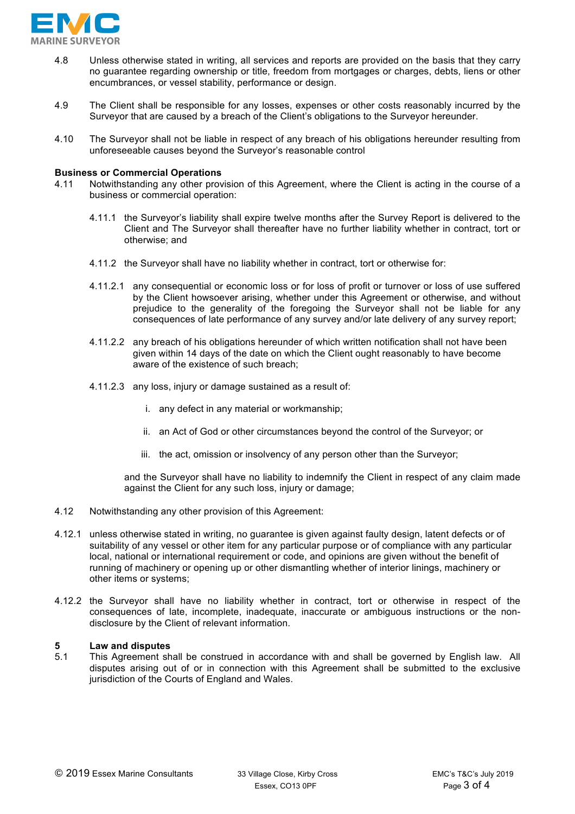

- 4.8 Unless otherwise stated in writing, all services and reports are provided on the basis that they carry no guarantee regarding ownership or title, freedom from mortgages or charges, debts, liens or other encumbrances, or vessel stability, performance or design.
- 4.9 The Client shall be responsible for any losses, expenses or other costs reasonably incurred by the Surveyor that are caused by a breach of the Client's obligations to the Surveyor hereunder.
- 4.10 The Surveyor shall not be liable in respect of any breach of his obligations hereunder resulting from unforeseeable causes beyond the Surveyor's reasonable control

#### **Business or Commercial Operations**

- 4.11 Notwithstanding any other provision of this Agreement, where the Client is acting in the course of a business or commercial operation:
	- 4.11.1 the Surveyor's liability shall expire twelve months after the Survey Report is delivered to the Client and The Surveyor shall thereafter have no further liability whether in contract, tort or otherwise; and
	- 4.11.2 the Surveyor shall have no liability whether in contract, tort or otherwise for:
	- 4.11.2.1 any consequential or economic loss or for loss of profit or turnover or loss of use suffered by the Client howsoever arising, whether under this Agreement or otherwise, and without prejudice to the generality of the foregoing the Surveyor shall not be liable for any consequences of late performance of any survey and/or late delivery of any survey report;
	- 4.11.2.2 any breach of his obligations hereunder of which written notification shall not have been given within 14 days of the date on which the Client ought reasonably to have become aware of the existence of such breach;
	- 4.11.2.3 any loss, injury or damage sustained as a result of:
		- i. any defect in any material or workmanship;
		- ii. an Act of God or other circumstances beyond the control of the Surveyor; or
		- iii. the act, omission or insolvency of any person other than the Surveyor;

and the Surveyor shall have no liability to indemnify the Client in respect of any claim made against the Client for any such loss, injury or damage;

- 4.12 Notwithstanding any other provision of this Agreement:
- 4.12.1 unless otherwise stated in writing, no guarantee is given against faulty design, latent defects or of suitability of any vessel or other item for any particular purpose or of compliance with any particular local, national or international requirement or code, and opinions are given without the benefit of running of machinery or opening up or other dismantling whether of interior linings, machinery or other items or systems;
- 4.12.2 the Surveyor shall have no liability whether in contract, tort or otherwise in respect of the consequences of late, incomplete, inadequate, inaccurate or ambiguous instructions or the nondisclosure by the Client of relevant information.

#### **5 Law and disputes**

5.1 This Agreement shall be construed in accordance with and shall be governed by English law. All disputes arising out of or in connection with this Agreement shall be submitted to the exclusive jurisdiction of the Courts of England and Wales.